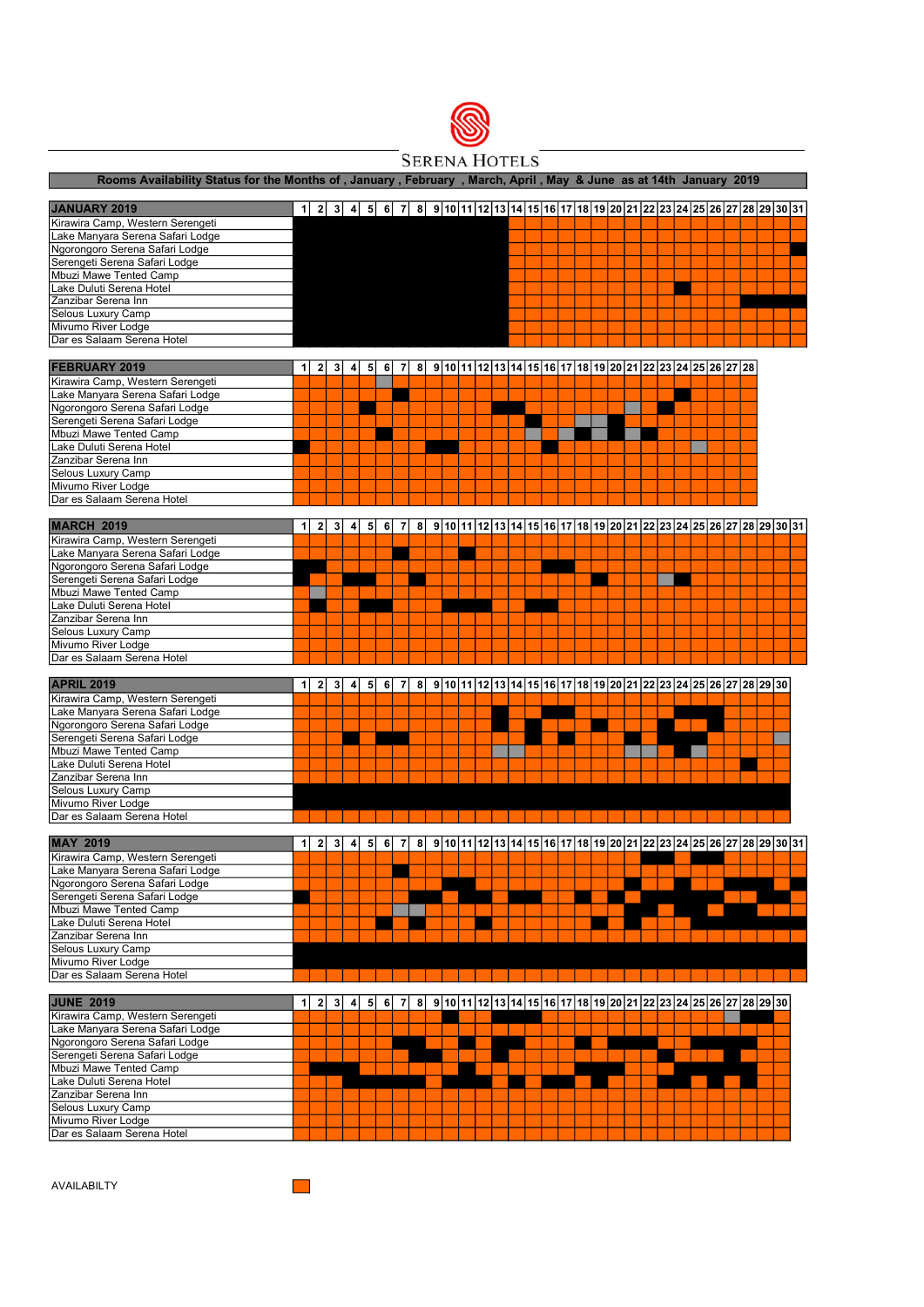

**SERENA HOTELS** 

|                                                  |              |                |                |                         |                |   |                |          |  |                                                                                                      | Rooms Availability Status for the Months of, January, February, March, April, May & June as at 14th January 2019 |  |  |  |  |  |  |  |  |
|--------------------------------------------------|--------------|----------------|----------------|-------------------------|----------------|---|----------------|----------|--|------------------------------------------------------------------------------------------------------|------------------------------------------------------------------------------------------------------------------|--|--|--|--|--|--|--|--|
| <b>JANUARY 2019</b>                              |              |                |                |                         |                |   |                |          |  | 1 2 3 4 5 6 7 8 9 0 1 2 3 4 5 6 7 8 9 10 12 13 14 15 16 17 18 19 20 21 22 23 24 25 26 27 28 29 30 31 |                                                                                                                  |  |  |  |  |  |  |  |  |
| Kirawira Camp, Western Serengeti                 |              |                |                |                         |                |   |                |          |  |                                                                                                      |                                                                                                                  |  |  |  |  |  |  |  |  |
| Lake Manyara Serena Safari Lodge                 |              |                |                |                         |                |   |                |          |  |                                                                                                      |                                                                                                                  |  |  |  |  |  |  |  |  |
| Ngorongoro Serena Safari Lodge                   |              |                |                |                         |                |   |                |          |  |                                                                                                      |                                                                                                                  |  |  |  |  |  |  |  |  |
| Serengeti Serena Safari Lodge                    |              |                |                |                         |                |   |                |          |  |                                                                                                      |                                                                                                                  |  |  |  |  |  |  |  |  |
| Mbuzi Mawe Tented Camp                           |              |                |                |                         |                |   |                |          |  |                                                                                                      |                                                                                                                  |  |  |  |  |  |  |  |  |
|                                                  |              |                |                |                         |                |   |                |          |  |                                                                                                      |                                                                                                                  |  |  |  |  |  |  |  |  |
| Lake Duluti Serena Hotel                         |              |                |                |                         |                |   |                |          |  |                                                                                                      |                                                                                                                  |  |  |  |  |  |  |  |  |
| Zanzibar Serena Inn                              |              |                |                |                         |                |   |                |          |  |                                                                                                      |                                                                                                                  |  |  |  |  |  |  |  |  |
| Selous Luxury Camp                               |              |                |                |                         |                |   |                |          |  |                                                                                                      |                                                                                                                  |  |  |  |  |  |  |  |  |
| Mivumo River Lodge                               |              |                |                |                         |                |   |                |          |  |                                                                                                      |                                                                                                                  |  |  |  |  |  |  |  |  |
| Dar es Salaam Serena Hotel                       |              |                |                |                         |                |   |                |          |  |                                                                                                      |                                                                                                                  |  |  |  |  |  |  |  |  |
| <b>FEBRUARY 2019</b>                             | $\mathbf{1}$ | 2              | 3 I            | $\overline{4}$          | 5 <sup>1</sup> |   | 6 7            |          |  | 8 9 10 11 12 13 14 15 16 17 18 19 20 21 22 23 24 25 26 27 28                                         |                                                                                                                  |  |  |  |  |  |  |  |  |
| Kirawira Camp, Western Serengeti                 |              |                |                |                         |                |   |                |          |  |                                                                                                      |                                                                                                                  |  |  |  |  |  |  |  |  |
| Lake Manyara Serena Safari Lodge                 |              |                |                |                         |                |   |                |          |  |                                                                                                      |                                                                                                                  |  |  |  |  |  |  |  |  |
| Ngorongoro Serena Safari Lodge                   |              |                |                |                         |                |   |                |          |  |                                                                                                      |                                                                                                                  |  |  |  |  |  |  |  |  |
| Serengeti Serena Safari Lodge                    |              |                |                |                         |                |   |                |          |  |                                                                                                      |                                                                                                                  |  |  |  |  |  |  |  |  |
| Mbuzi Mawe Tented Camp                           |              |                |                |                         |                |   |                |          |  |                                                                                                      |                                                                                                                  |  |  |  |  |  |  |  |  |
| Lake Duluti Serena Hotel                         |              |                |                |                         |                |   |                |          |  |                                                                                                      |                                                                                                                  |  |  |  |  |  |  |  |  |
| Zanzibar Serena Inn                              |              |                |                |                         |                |   |                |          |  |                                                                                                      |                                                                                                                  |  |  |  |  |  |  |  |  |
|                                                  |              |                |                |                         |                |   |                |          |  |                                                                                                      |                                                                                                                  |  |  |  |  |  |  |  |  |
| Selous Luxury Camp<br>Mivumo River Lodge         |              |                |                |                         |                |   |                |          |  |                                                                                                      |                                                                                                                  |  |  |  |  |  |  |  |  |
|                                                  |              |                |                |                         |                |   |                |          |  |                                                                                                      |                                                                                                                  |  |  |  |  |  |  |  |  |
| Dar es Salaam Serena Hotel                       |              |                |                |                         |                |   |                |          |  |                                                                                                      |                                                                                                                  |  |  |  |  |  |  |  |  |
| MARCH 2019                                       | $\vert$ 1    | $\mathbf{2}$   | 3              | $\overline{\mathbf{4}}$ | 5 <sup>1</sup> | 6 | $\overline{7}$ | $\bf{8}$ |  | 9 10 11 12 13 14 15 16 17 18 19 20 21 22 23 24 25 26 27 28 29 30 31                                  |                                                                                                                  |  |  |  |  |  |  |  |  |
| Kirawira Camp, Western Serengeti                 |              |                |                |                         |                |   |                |          |  |                                                                                                      |                                                                                                                  |  |  |  |  |  |  |  |  |
| Lake Manyara Serena Safari Lodge                 |              |                |                |                         |                |   |                |          |  |                                                                                                      |                                                                                                                  |  |  |  |  |  |  |  |  |
| Ngorongoro Serena Safari Lodge                   |              |                |                |                         |                |   |                |          |  |                                                                                                      |                                                                                                                  |  |  |  |  |  |  |  |  |
| Serengeti Serena Safari Lodge                    |              |                |                |                         |                |   |                |          |  |                                                                                                      |                                                                                                                  |  |  |  |  |  |  |  |  |
| Mbuzi Mawe Tented Camp                           |              |                |                |                         |                |   |                |          |  |                                                                                                      |                                                                                                                  |  |  |  |  |  |  |  |  |
| Lake Duluti Serena Hotel                         |              |                |                |                         |                |   |                |          |  |                                                                                                      |                                                                                                                  |  |  |  |  |  |  |  |  |
|                                                  |              |                |                |                         |                |   |                |          |  |                                                                                                      |                                                                                                                  |  |  |  |  |  |  |  |  |
| Zanzibar Serena Inn                              |              |                |                |                         |                |   |                |          |  |                                                                                                      |                                                                                                                  |  |  |  |  |  |  |  |  |
| Selous Luxury Camp                               |              |                |                |                         |                |   |                |          |  |                                                                                                      |                                                                                                                  |  |  |  |  |  |  |  |  |
| Mivumo River Lodge                               |              |                |                |                         |                |   |                |          |  |                                                                                                      |                                                                                                                  |  |  |  |  |  |  |  |  |
| Dar es Salaam Serena Hotel                       |              |                |                |                         |                |   |                |          |  |                                                                                                      |                                                                                                                  |  |  |  |  |  |  |  |  |
| <b>APRIL 2019</b>                                | 1            | 2 <sup>1</sup> | 3 <sup>1</sup> | $\overline{4}$          | 5 <sup>1</sup> | 6 | 7              | 8        |  | 9 10 11 12 13 14 15 16 17 18 19 20 21 22 23 24 25 26 27 28 29 30                                     |                                                                                                                  |  |  |  |  |  |  |  |  |
| Kirawira Camp, Western Serengeti                 |              |                |                |                         |                |   |                |          |  |                                                                                                      |                                                                                                                  |  |  |  |  |  |  |  |  |
| Lake Manyara Serena Safari Lodge                 |              |                |                |                         |                |   |                |          |  |                                                                                                      |                                                                                                                  |  |  |  |  |  |  |  |  |
| Ngorongoro Serena Safari Lodge                   |              |                |                |                         |                |   |                |          |  |                                                                                                      |                                                                                                                  |  |  |  |  |  |  |  |  |
| Serengeti Serena Safari Lodge                    |              |                |                |                         |                |   |                |          |  |                                                                                                      |                                                                                                                  |  |  |  |  |  |  |  |  |
|                                                  |              |                |                |                         |                |   |                |          |  |                                                                                                      |                                                                                                                  |  |  |  |  |  |  |  |  |
| Mbuzi Mawe Tented Camp                           |              |                |                |                         |                |   |                |          |  |                                                                                                      |                                                                                                                  |  |  |  |  |  |  |  |  |
| Lake Duluti Serena Hotel                         |              |                |                |                         |                |   |                |          |  |                                                                                                      |                                                                                                                  |  |  |  |  |  |  |  |  |
| Zanzibar Serena Inn                              |              |                |                |                         |                |   |                |          |  |                                                                                                      |                                                                                                                  |  |  |  |  |  |  |  |  |
| Selous Luxury Camp                               |              |                |                |                         |                |   |                |          |  |                                                                                                      |                                                                                                                  |  |  |  |  |  |  |  |  |
|                                                  |              |                |                |                         |                |   |                |          |  |                                                                                                      |                                                                                                                  |  |  |  |  |  |  |  |  |
| Mivumo River Lodge                               |              |                |                |                         |                |   |                |          |  |                                                                                                      |                                                                                                                  |  |  |  |  |  |  |  |  |
| Dar es Salaam Serena Hotel                       |              |                |                |                         |                |   |                |          |  |                                                                                                      |                                                                                                                  |  |  |  |  |  |  |  |  |
|                                                  |              |                |                |                         |                |   |                |          |  |                                                                                                      |                                                                                                                  |  |  |  |  |  |  |  |  |
| <b>MAY 2019</b>                                  | $\vert$ 1    | 2              | 3              | $\vert$ 4               | 5 <sub>1</sub> | 6 | 7              | 8        |  | $9 10 11 12 13 14 15 16 17 18 19 20 21 22 23 24 25 26 27 28 29 30 31$                                |                                                                                                                  |  |  |  |  |  |  |  |  |
| Kirawira Camp, Western Serengeti                 |              |                |                |                         |                |   |                |          |  |                                                                                                      |                                                                                                                  |  |  |  |  |  |  |  |  |
| Lake Manyara Serena Safari Lodge                 |              |                |                |                         |                |   |                |          |  |                                                                                                      |                                                                                                                  |  |  |  |  |  |  |  |  |
| Ngorongoro Serena Safari Lodge                   |              |                |                |                         |                |   |                |          |  |                                                                                                      |                                                                                                                  |  |  |  |  |  |  |  |  |
| Serengeti Serena Safari Lodge                    |              |                |                |                         |                |   |                |          |  |                                                                                                      |                                                                                                                  |  |  |  |  |  |  |  |  |
| Mbuzi Mawe Tented Camp                           |              |                |                |                         |                |   |                |          |  |                                                                                                      |                                                                                                                  |  |  |  |  |  |  |  |  |
| Lake Duluti Serena Hotel                         |              |                |                |                         |                |   |                |          |  |                                                                                                      |                                                                                                                  |  |  |  |  |  |  |  |  |
| Zanzibar Serena Inn                              |              |                |                |                         |                |   |                |          |  |                                                                                                      |                                                                                                                  |  |  |  |  |  |  |  |  |
| Selous Luxury Camp                               |              |                |                |                         |                |   |                |          |  |                                                                                                      |                                                                                                                  |  |  |  |  |  |  |  |  |
| Mivumo River Lodge                               |              |                |                |                         |                |   |                |          |  |                                                                                                      |                                                                                                                  |  |  |  |  |  |  |  |  |
| Dar es Salaam Serena Hotel                       |              |                |                |                         |                |   |                |          |  |                                                                                                      |                                                                                                                  |  |  |  |  |  |  |  |  |
|                                                  |              |                |                |                         |                |   |                |          |  |                                                                                                      |                                                                                                                  |  |  |  |  |  |  |  |  |
| <b>JUNE 2019</b>                                 | 1            | 2              | 3              | $\vert$                 |                |   | 5 6 7          | 8        |  | 9 10 11 12 13 14 15 16 17 18 19 20 21 22 23 24 25 26 27 28 29 30                                     |                                                                                                                  |  |  |  |  |  |  |  |  |
| Kirawira Camp, Western Serengeti                 |              |                |                |                         |                |   |                |          |  |                                                                                                      |                                                                                                                  |  |  |  |  |  |  |  |  |
| Lake Manyara Serena Safari Lodge                 |              |                |                |                         |                |   |                |          |  |                                                                                                      |                                                                                                                  |  |  |  |  |  |  |  |  |
| Ngorongoro Serena Safari Lodge                   |              |                |                |                         |                |   |                |          |  |                                                                                                      |                                                                                                                  |  |  |  |  |  |  |  |  |
| Serengeti Serena Safari Lodge                    |              |                |                |                         |                |   |                |          |  |                                                                                                      |                                                                                                                  |  |  |  |  |  |  |  |  |
| Mbuzi Mawe Tented Camp                           |              |                |                |                         |                |   |                |          |  |                                                                                                      |                                                                                                                  |  |  |  |  |  |  |  |  |
| Lake Duluti Serena Hotel                         |              |                |                |                         |                |   |                |          |  |                                                                                                      |                                                                                                                  |  |  |  |  |  |  |  |  |
| Zanzibar Serena Inn                              |              |                |                |                         |                |   |                |          |  |                                                                                                      |                                                                                                                  |  |  |  |  |  |  |  |  |
| Selous Luxury Camp                               |              |                |                |                         |                |   |                |          |  |                                                                                                      |                                                                                                                  |  |  |  |  |  |  |  |  |
| Mivumo River Lodge<br>Dar es Salaam Serena Hotel |              |                |                |                         |                |   |                |          |  |                                                                                                      |                                                                                                                  |  |  |  |  |  |  |  |  |